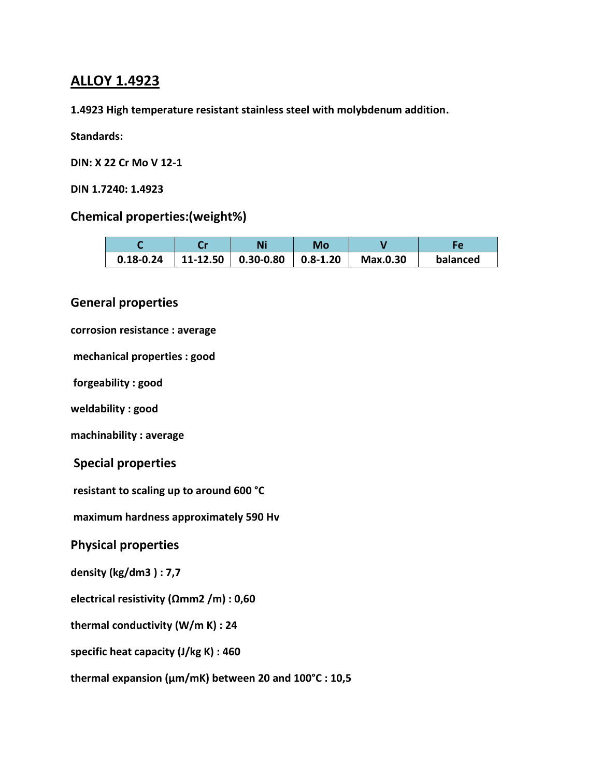# **ALLOY 1.4923**

**1.4923 High temperature resistant stainless steel with molybdenum addition.**

#### **Standards:**

**DIN: X 22 Cr Mo V 12-1**

**DIN 1.7240: 1.4923**

### **Chemical properties:(weight%)**

|               |          | Ni        | Mo           |          |          |
|---------------|----------|-----------|--------------|----------|----------|
| $0.18 - 0.24$ | 11-12.50 | 0.30-0.80 | $0.8 - 1.20$ | Max.0.30 | balanced |

### **General properties**

### **corrosion resistance : average**

**mechanical properties : good**

**forgeability : good** 

**weldability : good** 

**machinability : average**

### **Special properties**

**resistant to scaling up to around 600 °C**

**maximum hardness approximately 590 Hv** 

### **Physical properties**

**density (kg/dm3 ) : 7,7**

**electrical resistivity (Ωmm2 /m) : 0,60**

**thermal conductivity (W/m K) : 24**

**specific heat capacity (J/kg K) : 460**

**thermal expansion (μm/mK) between 20 and 100°C : 10,5**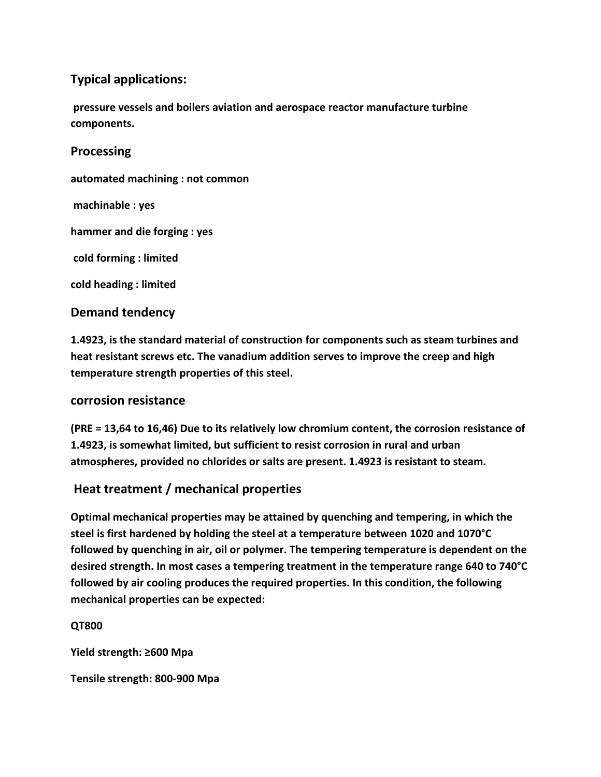## **Typical applications:**

**pressure vessels and boilers aviation and aerospace reactor manufacture turbine components.**

**Processing**

**automated machining : not common machinable : yes hammer and die forging : yes cold forming : limited cold heading : limited** 

## **Demand tendency**

**1.4923, is the standard material of construction for components such as steam turbines and heat resistant screws etc. The vanadium addition serves to improve the creep and high temperature strength properties of this steel.**

### **corrosion resistance**

**(PRE = 13,64 to 16,46) Due to its relatively low chromium content, the corrosion resistance of 1.4923, is somewhat limited, but sufficient to resist corrosion in rural and urban atmospheres, provided no chlorides or salts are present. 1.4923 is resistant to steam.**

# **Heat treatment / mechanical properties**

**Optimal mechanical properties may be attained by quenching and tempering, in which the steel is first hardened by holding the steel at a temperature between 1020 and 1070°C followed by quenching in air, oil or polymer. The tempering temperature is dependent on the desired strength. In most cases a tempering treatment in the temperature range 640 to 740°C followed by air cooling produces the required properties. In this condition, the following mechanical properties can be expected:**

#### **QT800**

**Yield strength: ≥600 Mpa**

**Tensile strength: 800-900 Mpa**